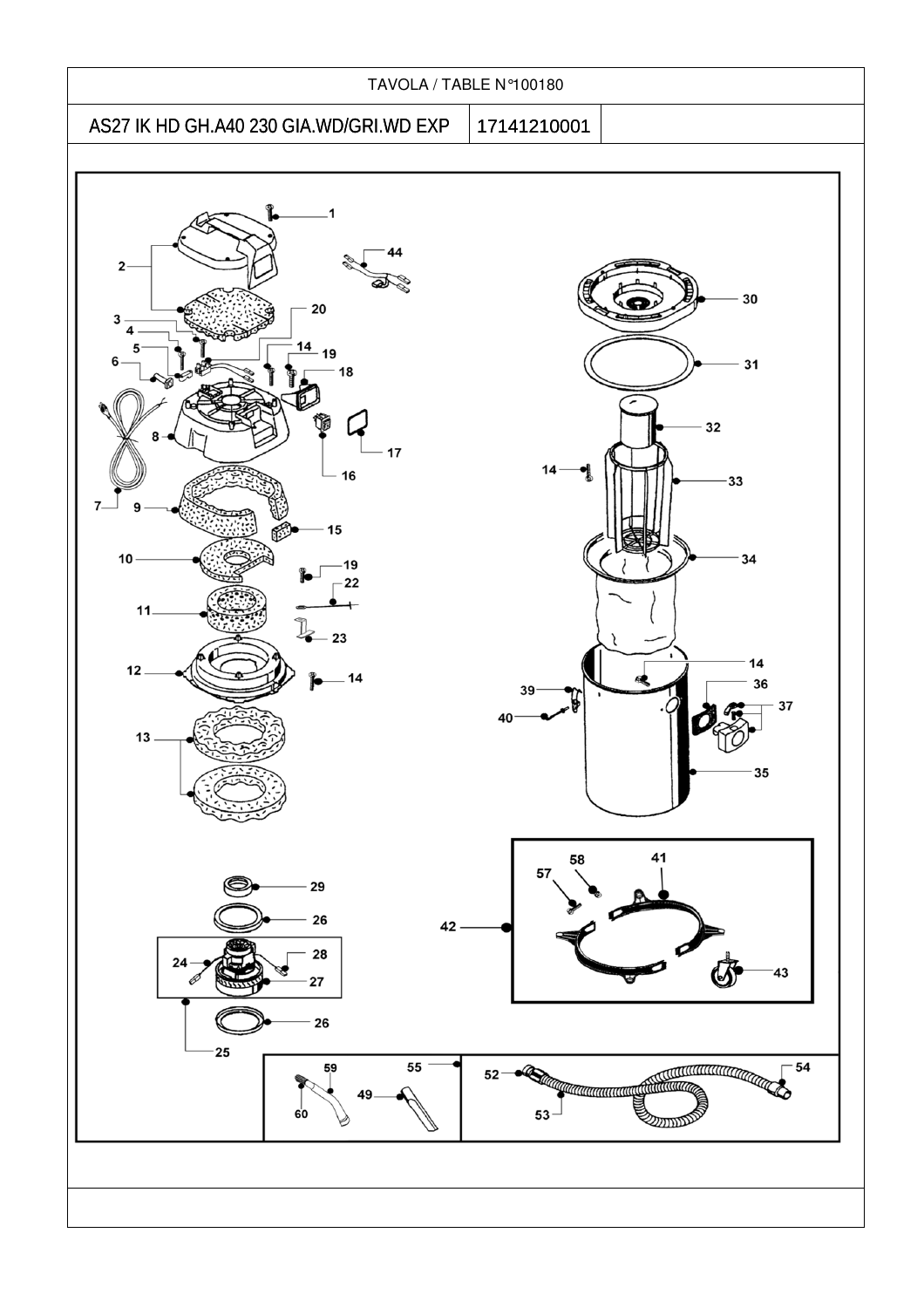### TAVOLA / TABLE N°100180

## AS27 IK HD GH.A40 230 GIA.WD/GRI.WD EXP 17141210001

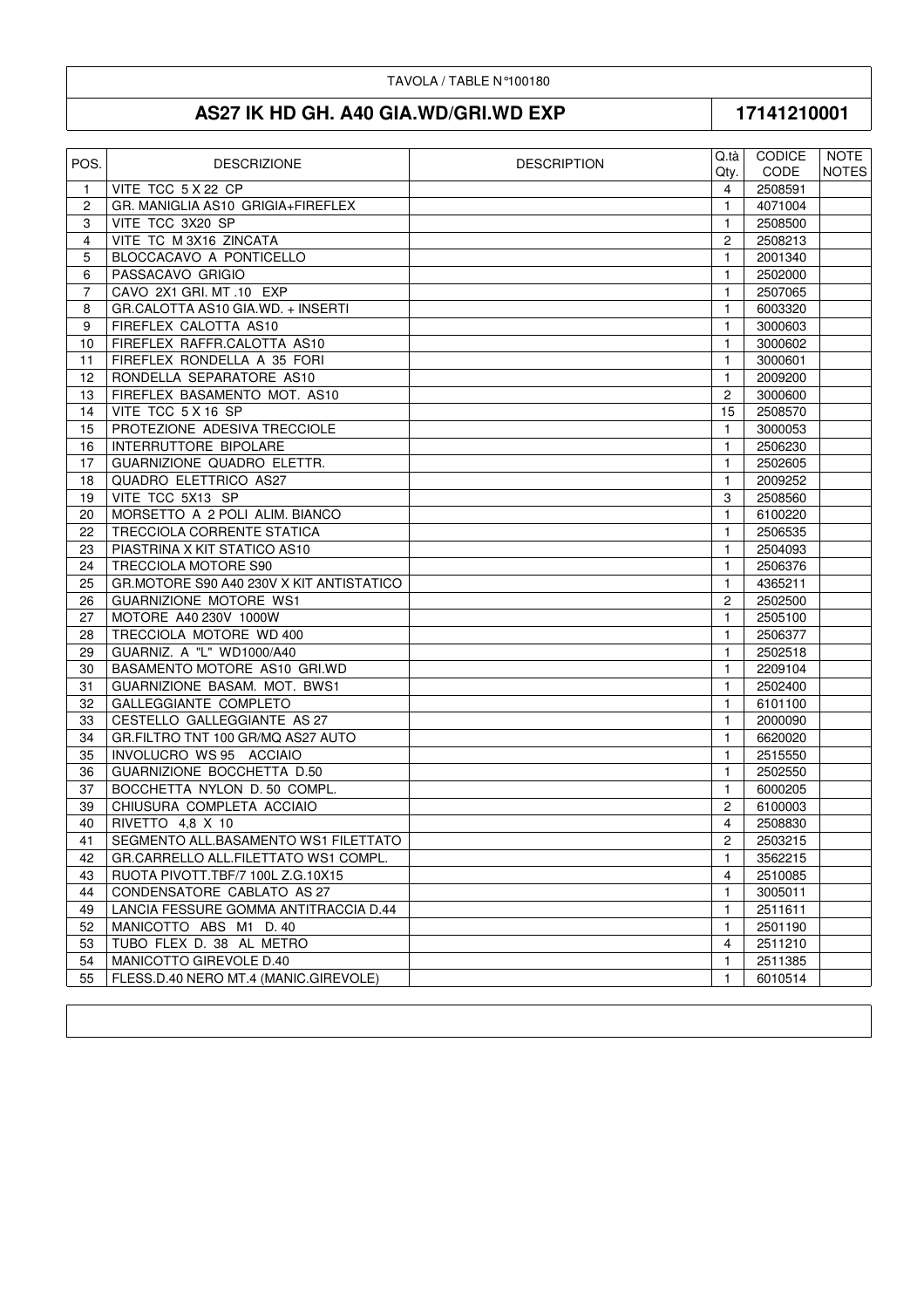### TAVOLA / TABLE N°100180

# AS27 IK HD GH. A40 GIA.WD/GRI.WD EXP

17141210001

| CODE<br>Qty.<br>VITE TCC 5 X 22 CP<br>2508591<br>4<br>1.<br>2<br>GR. MANIGLIA AS10 GRIGIA+FIREFLEX<br>4071004<br>1<br>VITE TCC 3X20 SP<br>3<br>2508500<br>$\mathbf{1}$<br>VITE TC M 3X16 ZINCATA<br>4<br>2508213<br>2<br>BLOCCACAVO A PONTICELLO<br>5<br>2001340<br>1<br>PASSACAVO GRIGIO<br>6<br>2502000<br>1<br>CAVO 2X1 GRI. MT .10 EXP<br>2507065<br>7<br>1<br>GR.CALOTTA AS10 GIA.WD. + INSERTI<br>6003320<br>8<br>1<br>FIREFLEX CALOTTA AS10<br>3000603<br>9<br>1<br>10<br>FIREFLEX RAFFR.CALOTTA AS10<br>3000602<br>1<br>FIREFLEX RONDELLA A 35 FORI<br>3000601<br>11<br>1<br>RONDELLA SEPARATORE AS10<br>2009200<br>12<br>$\mathbf{1}$<br>13<br>FIREFLEX BASAMENTO MOT. AS10<br>$\overline{c}$<br>3000600<br>VITE TCC 5 X 16 SP<br>14<br>2508570<br>15<br>PROTEZIONE ADESIVA TRECCIOLE<br>15<br>3000053<br>1<br>INTERRUTTORE BIPOLARE<br>2506230<br>16<br>1<br>GUARNIZIONE QUADRO ELETTR.<br>1<br>2502605 | NOTE<br><b>NOTES</b> |
|-------------------------------------------------------------------------------------------------------------------------------------------------------------------------------------------------------------------------------------------------------------------------------------------------------------------------------------------------------------------------------------------------------------------------------------------------------------------------------------------------------------------------------------------------------------------------------------------------------------------------------------------------------------------------------------------------------------------------------------------------------------------------------------------------------------------------------------------------------------------------------------------------------------------|----------------------|
|                                                                                                                                                                                                                                                                                                                                                                                                                                                                                                                                                                                                                                                                                                                                                                                                                                                                                                                   |                      |
|                                                                                                                                                                                                                                                                                                                                                                                                                                                                                                                                                                                                                                                                                                                                                                                                                                                                                                                   |                      |
|                                                                                                                                                                                                                                                                                                                                                                                                                                                                                                                                                                                                                                                                                                                                                                                                                                                                                                                   |                      |
|                                                                                                                                                                                                                                                                                                                                                                                                                                                                                                                                                                                                                                                                                                                                                                                                                                                                                                                   |                      |
|                                                                                                                                                                                                                                                                                                                                                                                                                                                                                                                                                                                                                                                                                                                                                                                                                                                                                                                   |                      |
|                                                                                                                                                                                                                                                                                                                                                                                                                                                                                                                                                                                                                                                                                                                                                                                                                                                                                                                   |                      |
|                                                                                                                                                                                                                                                                                                                                                                                                                                                                                                                                                                                                                                                                                                                                                                                                                                                                                                                   |                      |
|                                                                                                                                                                                                                                                                                                                                                                                                                                                                                                                                                                                                                                                                                                                                                                                                                                                                                                                   |                      |
|                                                                                                                                                                                                                                                                                                                                                                                                                                                                                                                                                                                                                                                                                                                                                                                                                                                                                                                   |                      |
|                                                                                                                                                                                                                                                                                                                                                                                                                                                                                                                                                                                                                                                                                                                                                                                                                                                                                                                   |                      |
|                                                                                                                                                                                                                                                                                                                                                                                                                                                                                                                                                                                                                                                                                                                                                                                                                                                                                                                   |                      |
|                                                                                                                                                                                                                                                                                                                                                                                                                                                                                                                                                                                                                                                                                                                                                                                                                                                                                                                   |                      |
|                                                                                                                                                                                                                                                                                                                                                                                                                                                                                                                                                                                                                                                                                                                                                                                                                                                                                                                   |                      |
|                                                                                                                                                                                                                                                                                                                                                                                                                                                                                                                                                                                                                                                                                                                                                                                                                                                                                                                   |                      |
|                                                                                                                                                                                                                                                                                                                                                                                                                                                                                                                                                                                                                                                                                                                                                                                                                                                                                                                   |                      |
|                                                                                                                                                                                                                                                                                                                                                                                                                                                                                                                                                                                                                                                                                                                                                                                                                                                                                                                   |                      |
|                                                                                                                                                                                                                                                                                                                                                                                                                                                                                                                                                                                                                                                                                                                                                                                                                                                                                                                   |                      |
| 17<br>QUADRO ELETTRICO AS27<br>2009252<br>18<br>1                                                                                                                                                                                                                                                                                                                                                                                                                                                                                                                                                                                                                                                                                                                                                                                                                                                                 |                      |
| VITE TCC 5X13 SP<br>2508560<br>19<br>3                                                                                                                                                                                                                                                                                                                                                                                                                                                                                                                                                                                                                                                                                                                                                                                                                                                                            |                      |
| MORSETTO A 2 POLI ALIM. BIANCO<br>20<br>6100220<br>1                                                                                                                                                                                                                                                                                                                                                                                                                                                                                                                                                                                                                                                                                                                                                                                                                                                              |                      |
| 22<br>TRECCIOLA CORRENTE STATICA<br>2506535<br>1                                                                                                                                                                                                                                                                                                                                                                                                                                                                                                                                                                                                                                                                                                                                                                                                                                                                  |                      |
| 23<br>PIASTRINA X KIT STATICO AS10<br>2504093<br>1                                                                                                                                                                                                                                                                                                                                                                                                                                                                                                                                                                                                                                                                                                                                                                                                                                                                |                      |
| 24<br><b>TRECCIOLA MOTORE S90</b><br>2506376<br>1                                                                                                                                                                                                                                                                                                                                                                                                                                                                                                                                                                                                                                                                                                                                                                                                                                                                 |                      |
| GR.MOTORE S90 A40 230V X KIT ANTISTATICO<br>25<br>4365211<br>1                                                                                                                                                                                                                                                                                                                                                                                                                                                                                                                                                                                                                                                                                                                                                                                                                                                    |                      |
| <b>GUARNIZIONE MOTORE WS1</b><br>26<br>$\overline{2}$<br>2502500                                                                                                                                                                                                                                                                                                                                                                                                                                                                                                                                                                                                                                                                                                                                                                                                                                                  |                      |
| MOTORE A40 230V 1000W<br>27<br>2505100<br>1                                                                                                                                                                                                                                                                                                                                                                                                                                                                                                                                                                                                                                                                                                                                                                                                                                                                       |                      |
| TRECCIOLA MOTORE WD 400<br>2506377<br>28<br>1                                                                                                                                                                                                                                                                                                                                                                                                                                                                                                                                                                                                                                                                                                                                                                                                                                                                     |                      |
| 29<br>GUARNIZ. A "L" WD1000/A40<br>2502518<br>1                                                                                                                                                                                                                                                                                                                                                                                                                                                                                                                                                                                                                                                                                                                                                                                                                                                                   |                      |
| 30<br>BASAMENTO MOTORE AS10 GRI.WD<br>2209104<br>1                                                                                                                                                                                                                                                                                                                                                                                                                                                                                                                                                                                                                                                                                                                                                                                                                                                                |                      |
| GUARNIZIONE BASAM. MOT. BWS1<br>2502400<br>31<br>1                                                                                                                                                                                                                                                                                                                                                                                                                                                                                                                                                                                                                                                                                                                                                                                                                                                                |                      |
| GALLEGGIANTE COMPLETO<br>6101100<br>32<br>1                                                                                                                                                                                                                                                                                                                                                                                                                                                                                                                                                                                                                                                                                                                                                                                                                                                                       |                      |
| CESTELLO GALLEGGIANTE AS 27<br>33<br>2000090<br>1                                                                                                                                                                                                                                                                                                                                                                                                                                                                                                                                                                                                                                                                                                                                                                                                                                                                 |                      |
| GR.FILTRO TNT 100 GR/MQ AS27 AUTO<br>6620020<br>34<br>1                                                                                                                                                                                                                                                                                                                                                                                                                                                                                                                                                                                                                                                                                                                                                                                                                                                           |                      |
| INVOLUCRO WS 95 ACCIAIO<br>2515550<br>35<br>1                                                                                                                                                                                                                                                                                                                                                                                                                                                                                                                                                                                                                                                                                                                                                                                                                                                                     |                      |
| 36<br>GUARNIZIONE BOCCHETTA D.50<br>2502550<br>1                                                                                                                                                                                                                                                                                                                                                                                                                                                                                                                                                                                                                                                                                                                                                                                                                                                                  |                      |
| 37<br>BOCCHETTA NYLON D. 50 COMPL.<br>6000205<br>1                                                                                                                                                                                                                                                                                                                                                                                                                                                                                                                                                                                                                                                                                                                                                                                                                                                                |                      |
| CHIUSURA COMPLETA ACCIAIO<br>6100003<br>39<br>2                                                                                                                                                                                                                                                                                                                                                                                                                                                                                                                                                                                                                                                                                                                                                                                                                                                                   |                      |
| RIVETTO 4,8 X 10<br>40<br>4<br>2508830                                                                                                                                                                                                                                                                                                                                                                                                                                                                                                                                                                                                                                                                                                                                                                                                                                                                            |                      |
| $\mathfrak{p}$<br>41<br>SEGMENTO ALL.BASAMENTO WS1 FILETTATO<br>2503215                                                                                                                                                                                                                                                                                                                                                                                                                                                                                                                                                                                                                                                                                                                                                                                                                                           |                      |
| GR.CARRELLO ALL.FILETTATO WS1 COMPL.<br>3562215<br>42<br>1                                                                                                                                                                                                                                                                                                                                                                                                                                                                                                                                                                                                                                                                                                                                                                                                                                                        |                      |
| 43<br>RUOTA PIVOTT.TBF/7 100L Z.G.10X15<br>2510085<br>4                                                                                                                                                                                                                                                                                                                                                                                                                                                                                                                                                                                                                                                                                                                                                                                                                                                           |                      |
| 44<br>CONDENSATORE CABLATO AS 27<br>3005011<br>1                                                                                                                                                                                                                                                                                                                                                                                                                                                                                                                                                                                                                                                                                                                                                                                                                                                                  |                      |
| LANCIA FESSURE GOMMA ANTITRACCIA D.44<br>2511611<br>49<br>1                                                                                                                                                                                                                                                                                                                                                                                                                                                                                                                                                                                                                                                                                                                                                                                                                                                       |                      |
| MANICOTTO ABS M1 D. 40<br>2501190<br>52<br>1                                                                                                                                                                                                                                                                                                                                                                                                                                                                                                                                                                                                                                                                                                                                                                                                                                                                      |                      |
| TUBO FLEX D. 38 AL METRO<br>2511210<br>53<br>4                                                                                                                                                                                                                                                                                                                                                                                                                                                                                                                                                                                                                                                                                                                                                                                                                                                                    |                      |
| MANICOTTO GIREVOLE D.40<br>2511385<br>54<br>1                                                                                                                                                                                                                                                                                                                                                                                                                                                                                                                                                                                                                                                                                                                                                                                                                                                                     |                      |
| 55<br>FLESS.D.40 NERO MT.4 (MANIC.GIREVOLE)<br>6010514<br>1                                                                                                                                                                                                                                                                                                                                                                                                                                                                                                                                                                                                                                                                                                                                                                                                                                                       |                      |